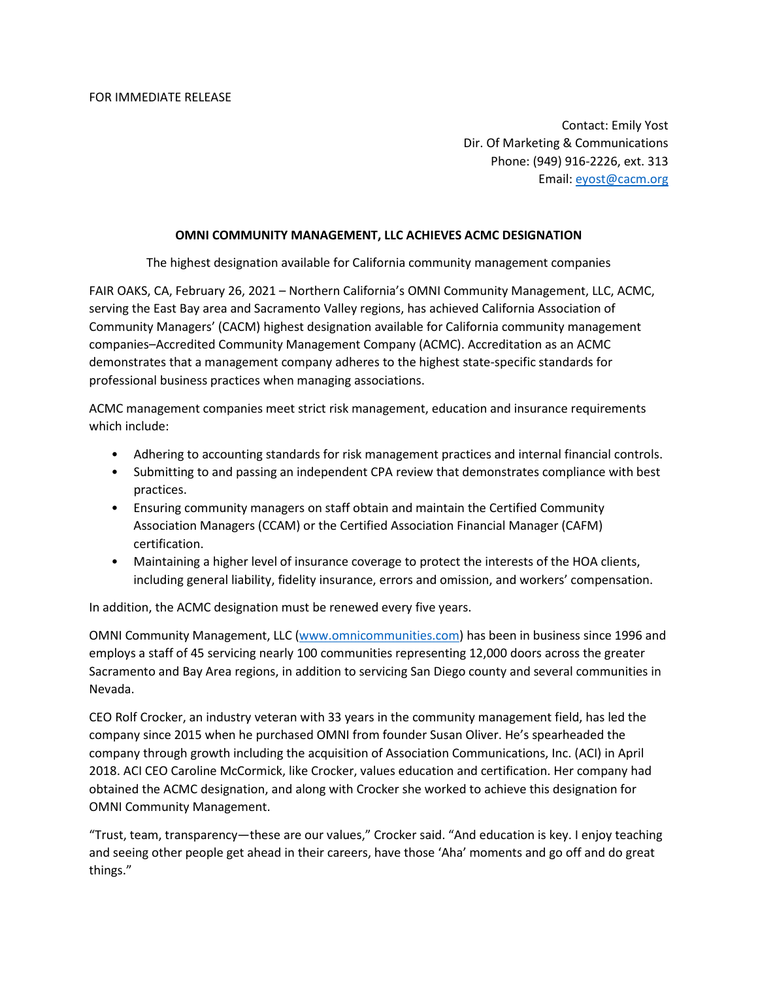Contact: Emily Yost Dir. Of Marketing & Communications Phone: (949) 916-2226, ext. 313 Email: [eyost@cacm.org](mailto:eyost@cacm.org)

## **OMNI COMMUNITY MANAGEMENT, LLC ACHIEVES ACMC DESIGNATION**

The highest designation available for California community management companies

FAIR OAKS, CA, February 26, 2021 – Northern California's OMNI Community Management, LLC, ACMC, serving the East Bay area and Sacramento Valley regions, has achieved California Association of Community Managers' (CACM) highest designation available for California community management companies–Accredited Community Management Company (ACMC). Accreditation as an ACMC demonstrates that a management company adheres to the highest state-specific standards for professional business practices when managing associations.

ACMC management companies meet strict risk management, education and insurance requirements which include:

- Adhering to accounting standards for risk management practices and internal financial controls.
- Submitting to and passing an independent CPA review that demonstrates compliance with best practices.
- Ensuring community managers on staff obtain and maintain the Certified Community Association Managers (CCAM) or the Certified Association Financial Manager (CAFM) certification.
- Maintaining a higher level of insurance coverage to protect the interests of the HOA clients, including general liability, fidelity insurance, errors and omission, and workers' compensation.

In addition, the ACMC designation must be renewed every five years.

OMNI Community Management, LLC [\(www.omnicommunities.com\)](http://www.omnicommunities.com/) has been in business since 1996 and employs a staff of 45 servicing nearly 100 communities representing 12,000 doors across the greater Sacramento and Bay Area regions, in addition to servicing San Diego county and several communities in Nevada.

CEO Rolf Crocker, an industry veteran with 33 years in the community management field, has led the company since 2015 when he purchased OMNI from founder Susan Oliver. He's spearheaded the company through growth including the acquisition of Association Communications, Inc. (ACI) in April 2018. ACI CEO Caroline McCormick, like Crocker, values education and certification. Her company had obtained the ACMC designation, and along with Crocker she worked to achieve this designation for OMNI Community Management.

"Trust, team, transparency—these are our values," Crocker said. "And education is key. I enjoy teaching and seeing other people get ahead in their careers, have those 'Aha' moments and go off and do great things."